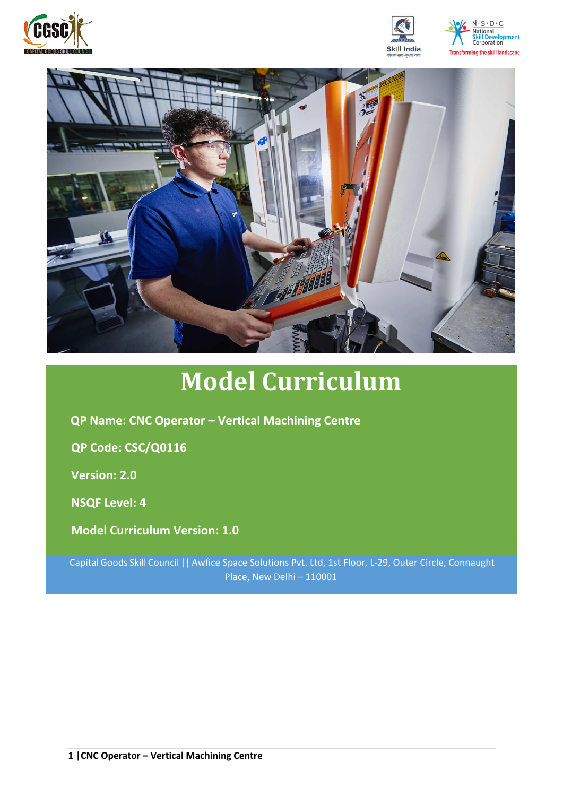







# **Model Curriculum**

**QP Name: CNC Operator – Vertical Machining Centre** 

**QP Code: CSC/Q0116**

**Version: 2.0**

**NSQF Level: 4**

**Model Curriculum Version: 1.0**

Capital Goods Skill Council || Awfice Space Solutions Pvt. Ltd, 1st Floor, L-29, Outer Circle, Connaught Place, New Delhi – 110001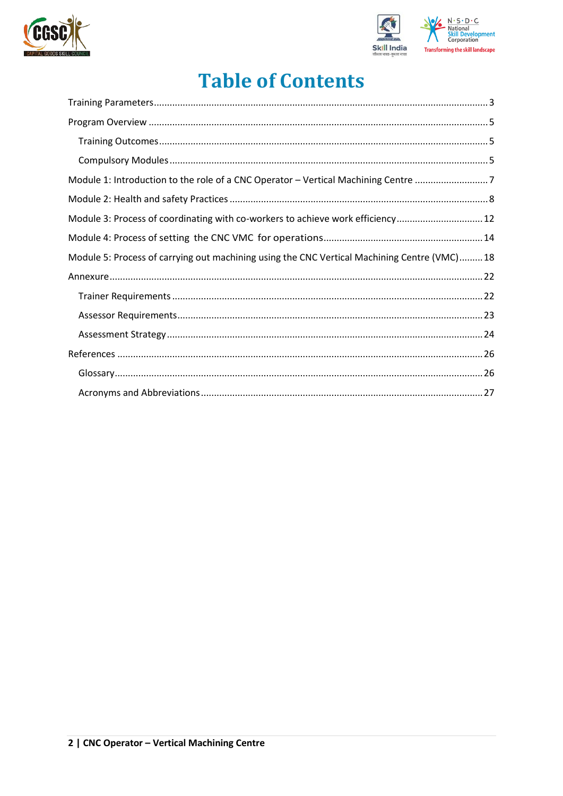



## **Table of Contents**

| Module 1: Introduction to the role of a CNC Operator - Vertical Machining Centre 7           |  |
|----------------------------------------------------------------------------------------------|--|
|                                                                                              |  |
| Module 3: Process of coordinating with co-workers to achieve work efficiency 12              |  |
|                                                                                              |  |
| Module 5: Process of carrying out machining using the CNC Vertical Machining Centre (VMC) 18 |  |
|                                                                                              |  |
|                                                                                              |  |
|                                                                                              |  |
|                                                                                              |  |
|                                                                                              |  |
|                                                                                              |  |
|                                                                                              |  |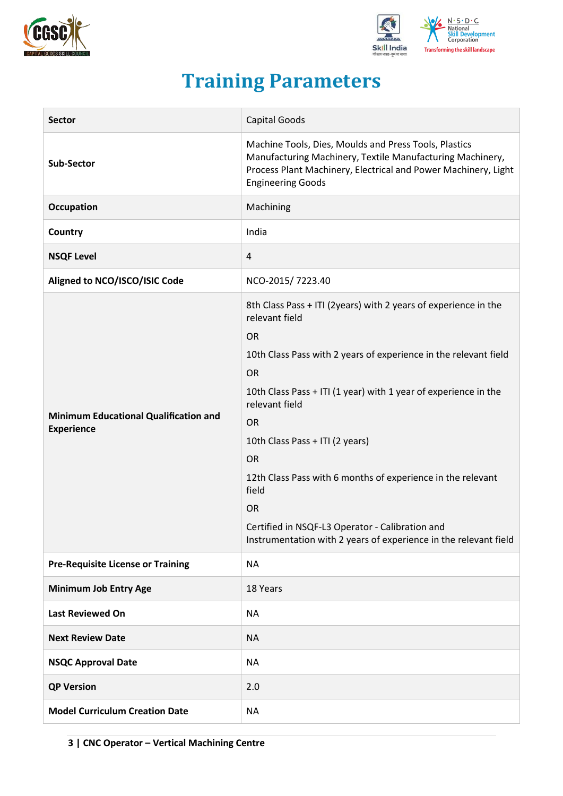



## **Training Parameters**

<span id="page-2-0"></span>

| <b>Sector</b>                                                     | Capital Goods                                                                                                                                                                                                                                                                                                                                                                                                                                                                                                                                 |  |  |
|-------------------------------------------------------------------|-----------------------------------------------------------------------------------------------------------------------------------------------------------------------------------------------------------------------------------------------------------------------------------------------------------------------------------------------------------------------------------------------------------------------------------------------------------------------------------------------------------------------------------------------|--|--|
| <b>Sub-Sector</b>                                                 | Machine Tools, Dies, Moulds and Press Tools, Plastics<br>Manufacturing Machinery, Textile Manufacturing Machinery,<br>Process Plant Machinery, Electrical and Power Machinery, Light<br><b>Engineering Goods</b>                                                                                                                                                                                                                                                                                                                              |  |  |
| Occupation                                                        | Machining                                                                                                                                                                                                                                                                                                                                                                                                                                                                                                                                     |  |  |
| Country                                                           | India                                                                                                                                                                                                                                                                                                                                                                                                                                                                                                                                         |  |  |
| <b>NSQF Level</b>                                                 | 4                                                                                                                                                                                                                                                                                                                                                                                                                                                                                                                                             |  |  |
| Aligned to NCO/ISCO/ISIC Code                                     | NCO-2015/7223.40                                                                                                                                                                                                                                                                                                                                                                                                                                                                                                                              |  |  |
| <b>Minimum Educational Qualification and</b><br><b>Experience</b> | 8th Class Pass + ITI (2years) with 2 years of experience in the<br>relevant field<br><b>OR</b><br>10th Class Pass with 2 years of experience in the relevant field<br><b>OR</b><br>10th Class Pass + ITI (1 year) with 1 year of experience in the<br>relevant field<br><b>OR</b><br>10th Class Pass + ITI (2 years)<br><b>OR</b><br>12th Class Pass with 6 months of experience in the relevant<br>field<br><b>OR</b><br>Certified in NSQF-L3 Operator - Calibration and<br>Instrumentation with 2 years of experience in the relevant field |  |  |
| <b>Pre-Requisite License or Training</b>                          | <b>NA</b>                                                                                                                                                                                                                                                                                                                                                                                                                                                                                                                                     |  |  |
| <b>Minimum Job Entry Age</b>                                      | 18 Years                                                                                                                                                                                                                                                                                                                                                                                                                                                                                                                                      |  |  |
| <b>Last Reviewed On</b>                                           | <b>NA</b>                                                                                                                                                                                                                                                                                                                                                                                                                                                                                                                                     |  |  |
| <b>Next Review Date</b>                                           | <b>NA</b>                                                                                                                                                                                                                                                                                                                                                                                                                                                                                                                                     |  |  |
| <b>NSQC Approval Date</b>                                         | <b>NA</b>                                                                                                                                                                                                                                                                                                                                                                                                                                                                                                                                     |  |  |
| <b>QP Version</b>                                                 | 2.0                                                                                                                                                                                                                                                                                                                                                                                                                                                                                                                                           |  |  |
| <b>Model Curriculum Creation Date</b>                             | <b>NA</b>                                                                                                                                                                                                                                                                                                                                                                                                                                                                                                                                     |  |  |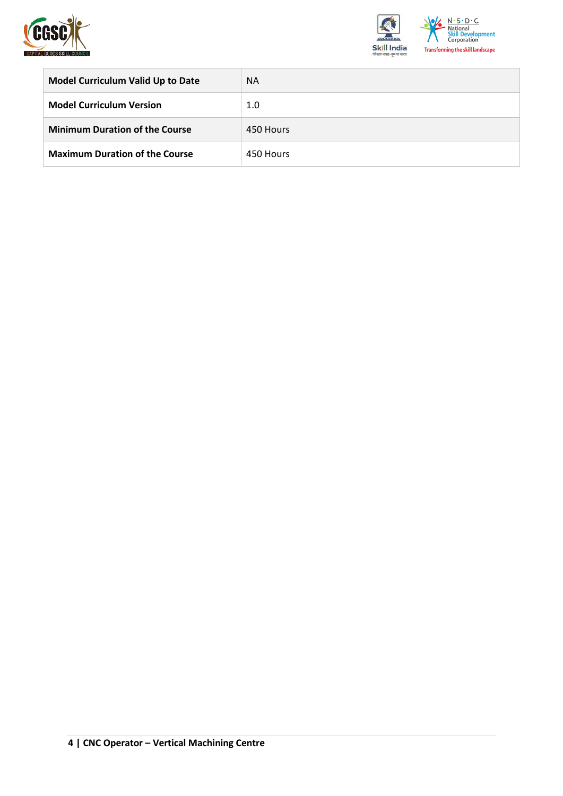



| <b>Model Curriculum Valid Up to Date</b> | <b>NA</b> |
|------------------------------------------|-----------|
| <b>Model Curriculum Version</b>          | 1.0       |
| <b>Minimum Duration of the Course</b>    | 450 Hours |
| <b>Maximum Duration of the Course</b>    | 450 Hours |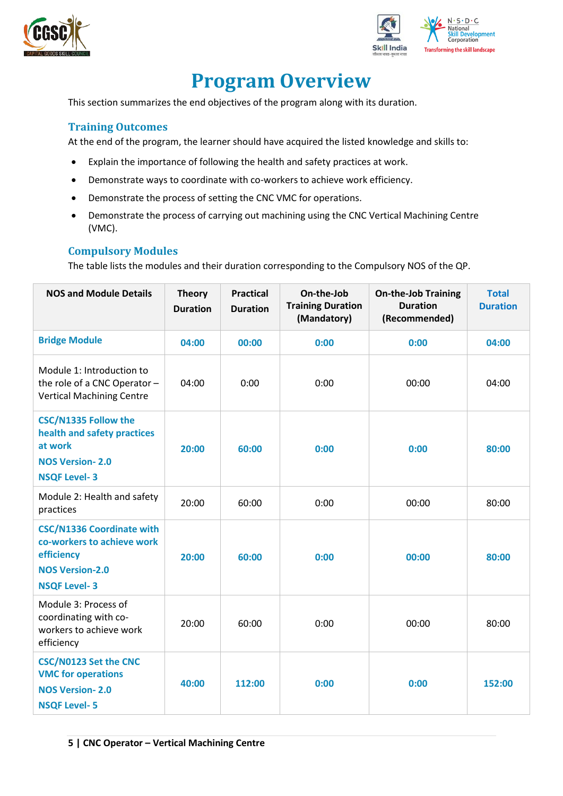



## **Program Overview**

<span id="page-4-0"></span>This section summarizes the end objectives of the program along with its duration.

#### <span id="page-4-1"></span>**Training Outcomes**

At the end of the program, the learner should have acquired the listed knowledge and skills to:

- Explain the importance of following the health and safety practices at work.
- Demonstrate ways to coordinate with co-workers to achieve work efficiency.
- Demonstrate the process of setting the CNC VMC for operations.
- Demonstrate the process of carrying out machining using the CNC Vertical Machining Centre (VMC).

#### <span id="page-4-2"></span>**Compulsory Modules**

The table lists the modules and their duration corresponding to the Compulsory NOS of the QP.

| <b>NOS and Module Details</b>                                                                                                 | <b>Theory</b><br><b>Duration</b> | <b>Practical</b><br><b>Duration</b> | On-the-Job<br><b>On-the-Job Training</b><br><b>Training Duration</b><br><b>Duration</b><br>(Mandatory)<br>(Recommended) |       | <b>Total</b><br><b>Duration</b> |
|-------------------------------------------------------------------------------------------------------------------------------|----------------------------------|-------------------------------------|-------------------------------------------------------------------------------------------------------------------------|-------|---------------------------------|
| <b>Bridge Module</b>                                                                                                          | 04:00                            | 00:00                               | 0:00                                                                                                                    | 0:00  | 04:00                           |
| Module 1: Introduction to<br>the role of a CNC Operator -<br><b>Vertical Machining Centre</b>                                 | 04:00                            | 0:00                                | 0:00                                                                                                                    | 00:00 | 04:00                           |
| <b>CSC/N1335 Follow the</b><br>health and safety practices<br>at work<br><b>NOS Version-2.0</b><br><b>NSQF Level-3</b>        | 20:00                            | 60:00                               | 0:00                                                                                                                    | 0:00  | 80:00                           |
| Module 2: Health and safety<br>practices                                                                                      | 20:00                            | 60:00                               | 0:00                                                                                                                    | 00:00 | 80:00                           |
| <b>CSC/N1336 Coordinate with</b><br>co-workers to achieve work<br>efficiency<br><b>NOS Version-2.0</b><br><b>NSQF Level-3</b> | 20:00                            | 60:00                               | 0:00                                                                                                                    | 00:00 | 80:00                           |
| Module 3: Process of<br>coordinating with co-<br>workers to achieve work<br>efficiency                                        | 20:00                            | 60:00                               | 0:00                                                                                                                    | 00:00 | 80:00                           |
| <b>CSC/N0123 Set the CNC</b><br><b>VMC for operations</b><br><b>NOS Version-2.0</b><br><b>NSQF Level-5</b>                    | 40:00                            | 112:00                              | 0:00                                                                                                                    | 0:00  | 152:00                          |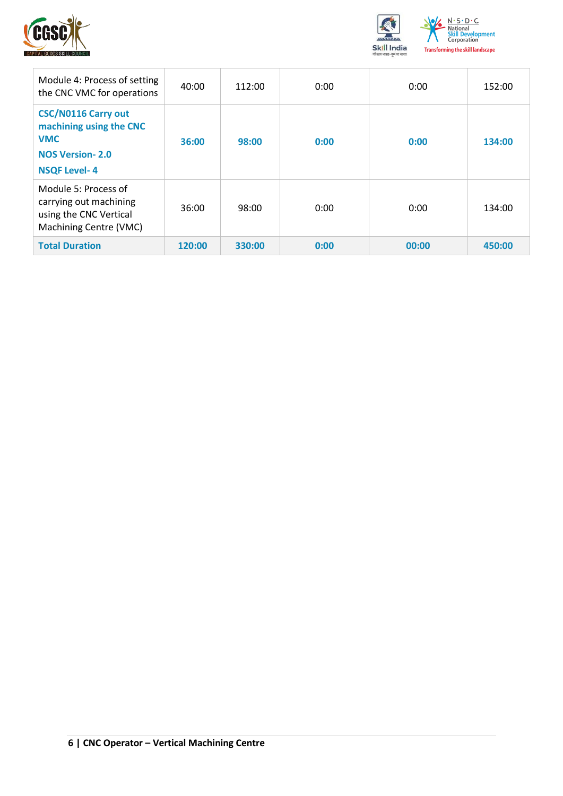



| Module 4: Process of setting<br>the CNC VMC for operations                                                           | 40:00  | 112:00 | 0:00 | 0:00  | 152:00 |
|----------------------------------------------------------------------------------------------------------------------|--------|--------|------|-------|--------|
| <b>CSC/N0116 Carry out</b><br>machining using the CNC<br><b>VMC</b><br><b>NOS Version-2.0</b><br><b>NSQF Level-4</b> | 36:00  | 98:00  | 0:00 | 0:00  | 134:00 |
| Module 5: Process of<br>carrying out machining<br>using the CNC Vertical<br>Machining Centre (VMC)                   | 36:00  | 98:00  | 0:00 | 0:00  | 134:00 |
| <b>Total Duration</b>                                                                                                | 120:00 | 330:00 | 0:00 | 00:00 | 450:00 |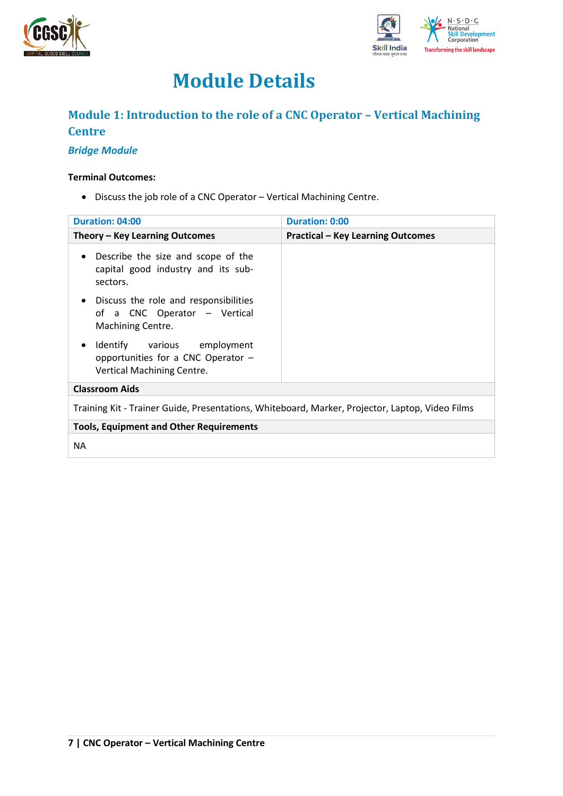



## **Module Details**

### <span id="page-6-0"></span>**Module 1: Introduction to the role of a CNC Operator – Vertical Machining Centre**

#### *Bridge Module*

#### **Terminal Outcomes:**

• Discuss the job role of a CNC Operator – Vertical Machining Centre.

| Duration: 04:00                                                                                         | <b>Duration: 0:00</b>                    |
|---------------------------------------------------------------------------------------------------------|------------------------------------------|
| Theory – Key Learning Outcomes                                                                          | <b>Practical - Key Learning Outcomes</b> |
| Describe the size and scope of the<br>$\bullet$<br>capital good industry and its sub-<br>sectors.       |                                          |
| Discuss the role and responsibilities<br>$\bullet$<br>of a CNC Operator - Vertical<br>Machining Centre. |                                          |
| Identify various employment<br>٠<br>opportunities for a CNC Operator -<br>Vertical Machining Centre.    |                                          |
| <b>Classroom Aids</b>                                                                                   |                                          |
| Training Kit - Trainer Guide, Presentations, Whiteboard, Marker, Projector, Laptop, Video Films         |                                          |
| <b>Tools, Equipment and Other Requirements</b>                                                          |                                          |
| <b>NA</b>                                                                                               |                                          |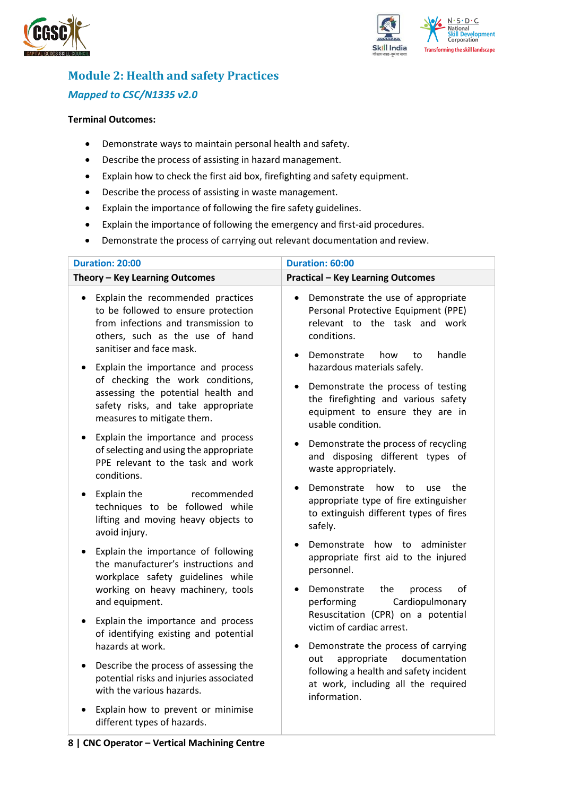



## <span id="page-7-0"></span>**Module 2: Health and safety Practices** *Mapped to CSC/N1335 v2.0*

#### **Terminal Outcomes:**

- Demonstrate ways to maintain personal health and safety.
- Describe the process of assisting in hazard management.
- Explain how to check the first aid box, firefighting and safety equipment.
- Describe the process of assisting in waste management.
- Explain the importance of following the fire safety guidelines.
- Explain the importance of following the emergency and first-aid procedures.
- Demonstrate the process of carrying out relevant documentation and review.

| <b>Duration: 20:00</b>                                                                                                                                                                      | Duration: 60:00                                                                                                                                                                           |
|---------------------------------------------------------------------------------------------------------------------------------------------------------------------------------------------|-------------------------------------------------------------------------------------------------------------------------------------------------------------------------------------------|
| Theory - Key Learning Outcomes                                                                                                                                                              | <b>Practical - Key Learning Outcomes</b>                                                                                                                                                  |
| Explain the recommended practices<br>$\bullet$<br>to be followed to ensure protection<br>from infections and transmission to<br>others, such as the use of hand<br>sanitiser and face mask. | Demonstrate the use of appropriate<br>$\bullet$<br>Personal Protective Equipment (PPE)<br>relevant to the task and work<br>conditions.<br>handle<br>Demonstrate<br>how<br>to<br>$\bullet$ |
| Explain the importance and process<br>of checking the work conditions,<br>assessing the potential health and<br>safety risks, and take appropriate<br>measures to mitigate them.            | hazardous materials safely.<br>Demonstrate the process of testing<br>$\bullet$<br>the firefighting and various safety<br>equipment to ensure they are in<br>usable condition.             |
| Explain the importance and process<br>$\bullet$<br>of selecting and using the appropriate<br>PPE relevant to the task and work<br>conditions.                                               | Demonstrate the process of recycling<br>٠<br>and disposing different types of<br>waste appropriately.                                                                                     |
| Explain the<br>recommended<br>$\bullet$<br>techniques to be followed while<br>lifting and moving heavy objects to<br>avoid injury.                                                          | Demonstrate<br>how<br>the<br>to<br>use<br>appropriate type of fire extinguisher<br>to extinguish different types of fires<br>safely.                                                      |
| Explain the importance of following<br>$\bullet$<br>the manufacturer's instructions and<br>workplace safety guidelines while<br>working on heavy machinery, tools<br>and equipment.         | Demonstrate how to administer<br>appropriate first aid to the injured<br>personnel.<br>of<br>Demonstrate<br>the<br>process<br>Cardiopulmonary<br>performing                               |
| Explain the importance and process<br>$\bullet$<br>of identifying existing and potential<br>hazards at work.                                                                                | Resuscitation (CPR) on a potential<br>victim of cardiac arrest.<br>Demonstrate the process of carrying<br>$\bullet$                                                                       |
| Describe the process of assessing the<br>$\bullet$<br>potential risks and injuries associated<br>with the various hazards.                                                                  | appropriate<br>documentation<br>out<br>following a health and safety incident<br>at work, including all the required<br>information.                                                      |
| Explain how to prevent or minimise<br>different types of hazards.                                                                                                                           |                                                                                                                                                                                           |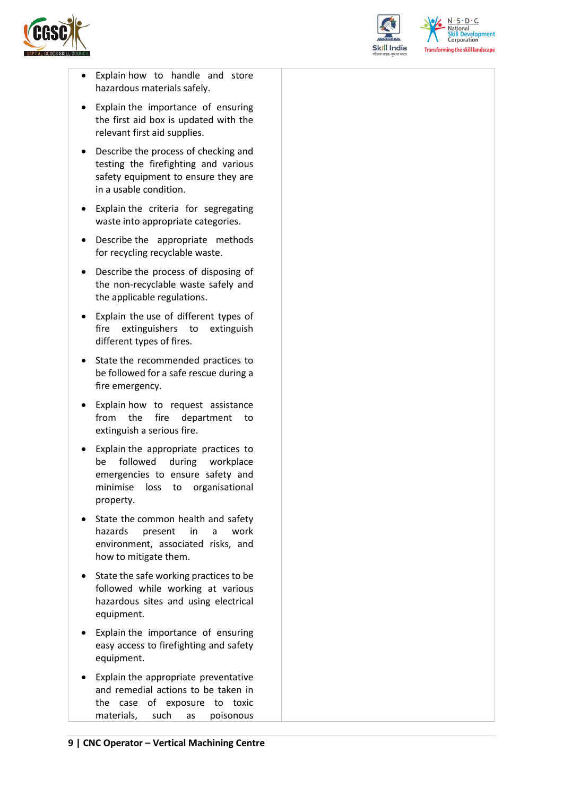



 $N.5.0.6$ **Skill Development**<br>Corporation **Transforming the skill landscape** 

- Explain how to handle and store hazardous materials safely.
- Explain the importance of ensuring the first aid box is updated with the relevant first aid supplies.
- Describe the process of checking and testing the firefighting and various safety equipment to ensure they are in a usable condition.
- Explain the criteria for segregating waste into appropriate categories.
- Describe the appropriate methods for recycling recyclable waste.
- Describe the process of disposing of the non-recyclable waste safely and the applicable regulations.
- Explain the use of different types of fire extinguishers to extinguish different types of fires.
- State the recommended practices to be followed for a safe rescue during a fire emergency.
- Explain how to request assistance from the fire department to extinguish a serious fire.
- Explain the appropriate practices to be followed during workplace emergencies to ensure safety and minimise loss to organisational property.
- State the common health and safety hazards present in a work environment, associated risks, and how to mitigate them.
- State the safe working practices to be followed while working at various hazardous sites and using electrical equipment.
- Explain the importance of ensuring easy access to firefighting and safety equipment.
- Explain the appropriate preventative and remedial actions to be taken in the case of exposure to toxic materials, such as poisonous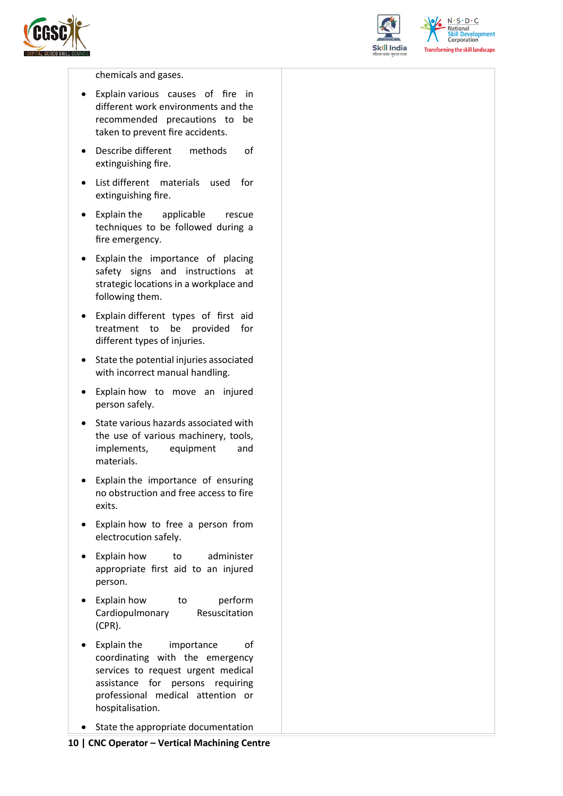



 $N \cdot S \cdot D \cdot C$ National **Skill Development**<br>Corporation **Transforming the skill landscape** 

chemicals and gases.

- Explain various causes of fire in different work environments and the recommended precautions to be taken to prevent fire accidents.
- Describe different methods of extinguishing fire.
- List different materials used for extinguishing fire.
- Explain the applicable rescue techniques to be followed during a fire emergency.
- Explain the importance of placing safety signs and instructions at strategic locations in a workplace and following them.
- Explain different types of first aid treatment to be provided for different types of injuries.
- State the potential injuries associated with incorrect manual handling.
- Explain how to move an injured person safely.
- State various hazards associated with the use of various machinery, tools, implements, equipment and materials.
- Explain the importance of ensuring no obstruction and free access to fire exits.
- Explain how to free a person from electrocution safely.
- Explain how to administer appropriate first aid to an injured person.
- Explain how to perform Cardiopulmonary Resuscitation (CPR).
- Explain the importance of coordinating with the emergency services to request urgent medical assistance for persons requiring professional medical attention or hospitalisation.
- State the appropriate documentation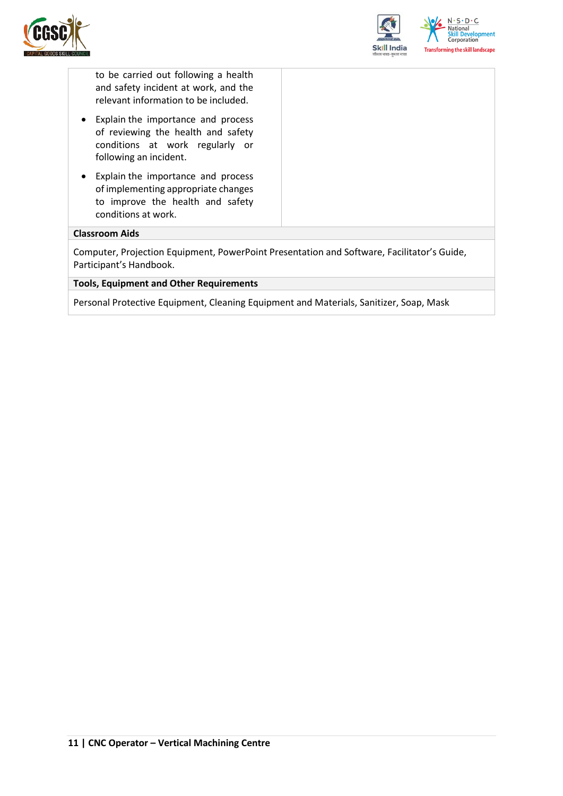



to be carried out following a health and safety incident at work, and the relevant information to be included.

- Explain the importance and process of reviewing the health and safety conditions at work regularly or following an incident.
- Explain the importance and process of implementing appropriate changes to improve the health and safety conditions at work.

#### **Classroom Aids**

Computer, Projection Equipment, PowerPoint Presentation and Software, Facilitator's Guide, Participant's Handbook.

#### **Tools, Equipment and Other Requirements**

Personal Protective Equipment, Cleaning Equipment and Materials, Sanitizer, Soap, Mask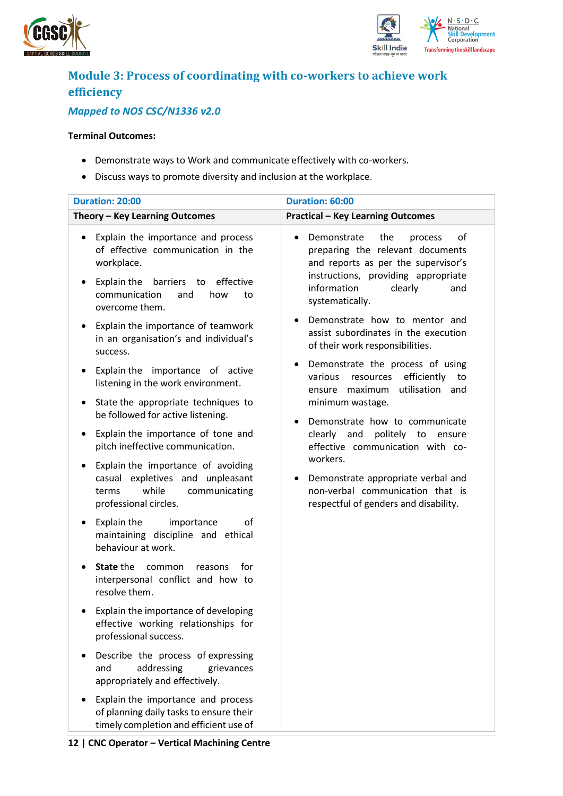



## <span id="page-11-0"></span>**Module 3: Process of coordinating with co-workers to achieve work efficiency**

### *Mapped to NOS CSC/N1336 v2.0*

#### **Terminal Outcomes:**

- Demonstrate ways to Work and communicate effectively with co-workers.
- Discuss ways to promote diversity and inclusion at the workplace.

| Duration: 20:00                                                                                                                                                                                                                                                                          | Duration: 60:00                                                                                                                                                                                                                                                                    |
|------------------------------------------------------------------------------------------------------------------------------------------------------------------------------------------------------------------------------------------------------------------------------------------|------------------------------------------------------------------------------------------------------------------------------------------------------------------------------------------------------------------------------------------------------------------------------------|
| Theory - Key Learning Outcomes                                                                                                                                                                                                                                                           | <b>Practical - Key Learning Outcomes</b>                                                                                                                                                                                                                                           |
| Explain the importance and process<br>of effective communication in the<br>workplace.<br>Explain the<br>barriers to<br>effective<br>٠<br>communication<br>and<br>how<br>to<br>overcome them.<br>Explain the importance of teamwork<br>$\bullet$<br>in an organisation's and individual's | Demonstrate<br>the<br>of<br>process<br>preparing the relevant documents<br>and reports as per the supervisor's<br>instructions, providing appropriate<br>information<br>clearly<br>and<br>systematically.<br>Demonstrate how to mentor and<br>assist subordinates in the execution |
| success.<br>Explain the importance of active<br>$\bullet$<br>listening in the work environment.                                                                                                                                                                                          | of their work responsibilities.<br>Demonstrate the process of using<br>efficiently<br>various<br>resources<br>to<br>utilisation and<br>ensure maximum                                                                                                                              |
| State the appropriate techniques to<br>٠<br>be followed for active listening.                                                                                                                                                                                                            | minimum wastage.<br>Demonstrate how to communicate                                                                                                                                                                                                                                 |
| Explain the importance of tone and<br>٠<br>pitch ineffective communication.                                                                                                                                                                                                              | clearly and<br>politely to ensure<br>effective communication with co-                                                                                                                                                                                                              |
| Explain the importance of avoiding<br>٠<br>casual expletives and unpleasant<br>while<br>communicating<br>terms<br>professional circles.                                                                                                                                                  | workers.<br>Demonstrate appropriate verbal and<br>non-verbal communication that is<br>respectful of genders and disability.                                                                                                                                                        |
| Explain the<br>importance<br>οf<br>٠<br>maintaining discipline and ethical<br>behaviour at work.                                                                                                                                                                                         |                                                                                                                                                                                                                                                                                    |
| <b>State the</b><br>common<br>for<br>reasons<br>interpersonal conflict and how to<br>resolve them.                                                                                                                                                                                       |                                                                                                                                                                                                                                                                                    |
| Explain the importance of developing<br>effective working relationships for<br>professional success.                                                                                                                                                                                     |                                                                                                                                                                                                                                                                                    |
| Describe the process of expressing<br>addressing<br>and<br>grievances<br>appropriately and effectively.                                                                                                                                                                                  |                                                                                                                                                                                                                                                                                    |
| Explain the importance and process<br>of planning daily tasks to ensure their<br>timely completion and efficient use of                                                                                                                                                                  |                                                                                                                                                                                                                                                                                    |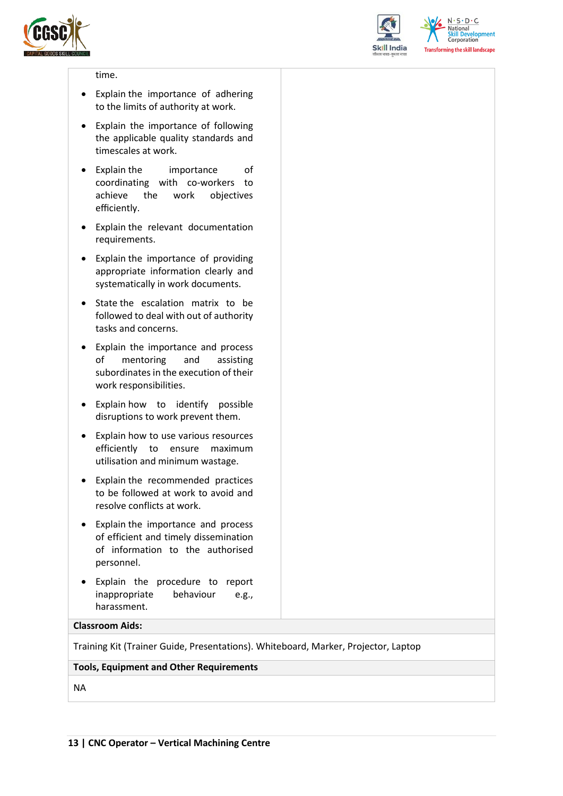



 $N.5.0.6$ **National Skill Development**<br>Corporation **Transforming the skill landscape** 

#### time.

- Explain the importance of adhering to the limits of authority at work.
- Explain the importance of following the applicable quality standards and timescales at work.
- Explain the importance of coordinating with co-workers to achieve the work objectives efficiently.
- Explain the relevant documentation requirements.
- Explain the importance of providing appropriate information clearly and systematically in work documents.
- State the escalation matrix to be followed to deal with out of authority tasks and concerns.
- Explain the importance and process of mentoring and assisting subordinates in the execution of their work responsibilities.
- Explain how to identify possible disruptions to work prevent them.
- Explain how to use various resources efficiently to ensure maximum utilisation and minimum wastage.
- Explain the recommended practices to be followed at work to avoid and resolve conflicts at work.
- Explain the importance and process of efficient and timely dissemination of information to the authorised personnel.
- Explain the procedure to report inappropriate behaviour e.g., harassment.

#### **Classroom Aids:**

Training Kit (Trainer Guide, Presentations). Whiteboard, Marker, Projector, Laptop

#### **Tools, Equipment and Other Requirements**

NA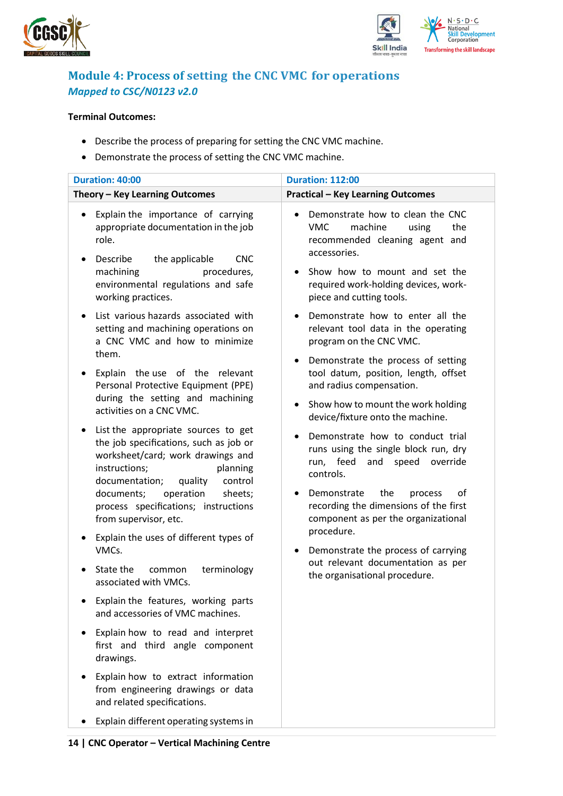



### <span id="page-13-0"></span>**Module 4: Process of setting the CNC VMC for operations** *Mapped to CSC/N0123 v2.0*

#### **Terminal Outcomes:**

- Describe the process of preparing for setting the CNC VMC machine.
- Demonstrate the process of setting the CNC VMC machine.

| Duration: 40:00                                                                                                                                                                         | <b>Duration: 112:00</b>                                                                                                     |
|-----------------------------------------------------------------------------------------------------------------------------------------------------------------------------------------|-----------------------------------------------------------------------------------------------------------------------------|
| Theory - Key Learning Outcomes                                                                                                                                                          | <b>Practical - Key Learning Outcomes</b>                                                                                    |
| Explain the importance of carrying<br>٠<br>appropriate documentation in the job<br>role.<br>Describe<br>the applicable<br><b>CNC</b>                                                    | Demonstrate how to clean the CNC<br>machine<br><b>VMC</b><br>using<br>the<br>recommended cleaning agent and<br>accessories. |
| machining<br>procedures,<br>environmental regulations and safe<br>working practices.                                                                                                    | Show how to mount and set the<br>required work-holding devices, work-<br>piece and cutting tools.                           |
| List various hazards associated with<br>setting and machining operations on<br>a CNC VMC and how to minimize                                                                            | Demonstrate how to enter all the<br>relevant tool data in the operating<br>program on the CNC VMC.                          |
| them.<br>Explain the use of the relevant<br>Personal Protective Equipment (PPE)                                                                                                         | Demonstrate the process of setting<br>٠<br>tool datum, position, length, offset<br>and radius compensation.                 |
| during the setting and machining<br>activities on a CNC VMC.                                                                                                                            | Show how to mount the work holding<br>device/fixture onto the machine.                                                      |
| List the appropriate sources to get<br>the job specifications, such as job or<br>worksheet/card; work drawings and<br>instructions;<br>planning<br>documentation;<br>quality<br>control | Demonstrate how to conduct trial<br>runs using the single block run, dry<br>run, feed and speed<br>override<br>controls.    |
| operation<br>documents;<br>sheets;<br>process specifications; instructions<br>from supervisor, etc.                                                                                     | Demonstrate<br>the<br>οf<br>process<br>٠<br>recording the dimensions of the first<br>component as per the organizational    |
| Explain the uses of different types of<br>VMCs.                                                                                                                                         | procedure.<br>Demonstrate the process of carrying                                                                           |
| State the<br>terminology<br>common<br>associated with VMCs.                                                                                                                             | out relevant documentation as per<br>the organisational procedure.                                                          |
| Explain the features, working parts<br>and accessories of VMC machines.                                                                                                                 |                                                                                                                             |
| Explain how to read and interpret<br>first and third angle component<br>drawings.                                                                                                       |                                                                                                                             |
| Explain how to extract information<br>from engineering drawings or data<br>and related specifications.                                                                                  |                                                                                                                             |
| Explain different operating systems in                                                                                                                                                  |                                                                                                                             |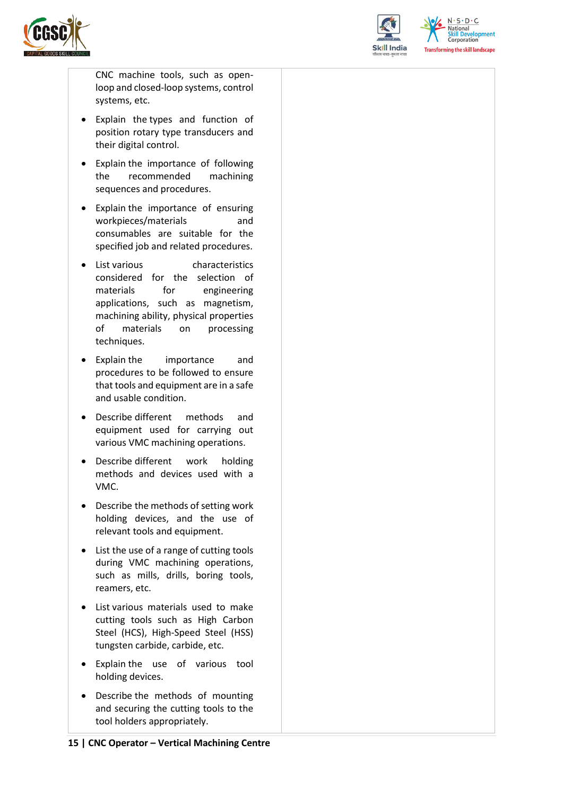



 $N.5.0.6$ **National Skill Development**<br>Corporation **Transforming the skill landscape** 

CNC machine tools, such as openloop and closed-loop systems, control systems, etc.

- Explain the types and function of position rotary type transducers and their digital control.
- Explain the importance of following the recommended machining sequences and procedures.
- Explain the importance of ensuring workpieces/materials and consumables are suitable for the specified job and related procedures.
- List various characteristics considered for the selection of materials for engineering applications, such as magnetism, machining ability, physical properties of materials on processing techniques.
- Explain the importance and procedures to be followed to ensure that tools and equipment are in a safe and usable condition.
- Describe different methods and equipment used for carrying out various VMC machining operations.
- Describe different work holding methods and devices used with a VMC.
- Describe the methods of setting work holding devices, and the use of relevant tools and equipment.
- List the use of a range of cutting tools during VMC machining operations, such as mills, drills, boring tools, reamers, etc.
- List various materials used to make cutting tools such as High Carbon Steel (HCS), High-Speed Steel (HSS) tungsten carbide, carbide, etc.
- Explain the use of various tool holding devices.
- Describe the methods of mounting and securing the cutting tools to the tool holders appropriately.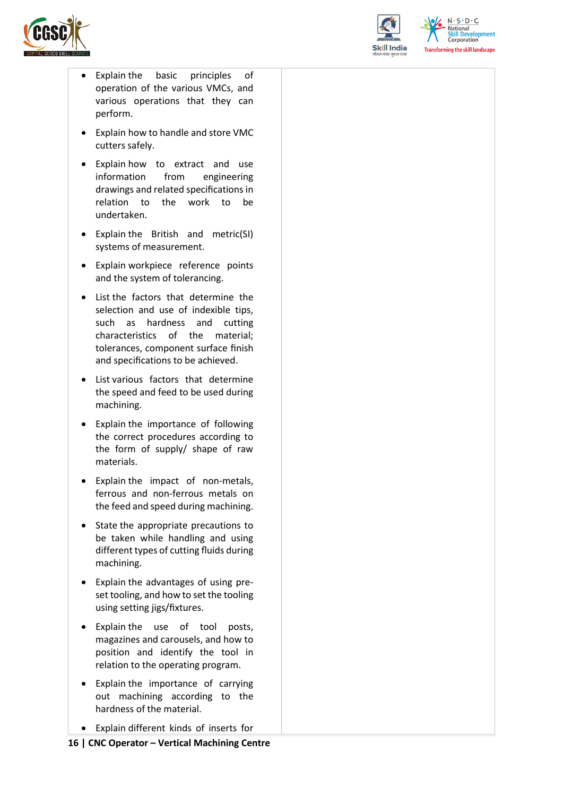



 $N \cdot S \cdot D \cdot C$ National **Skill Development**<br>Corporation **Transforming the skill landscape** 

- Explain the basic principles of operation of the various VMCs, and various operations that they can perform.
- Explain how to handle and store VMC cutters safely.
- Explain how to extract and use information from engineering drawings and related specifications in relation to the work to be undertaken.
- Explain the British and metric(SI) systems of measurement.
- Explain workpiece reference points and the system of tolerancing.
- List the factors that determine the selection and use of indexible tips, such as hardness and cutting characteristics of the material; tolerances, component surface finish and specifications to be achieved.
- List various factors that determine the speed and feed to be used during machining.
- Explain the importance of following the correct procedures according to the form of supply/ shape of raw materials.
- Explain the impact of non-metals, ferrous and non-ferrous metals on the feed and speed during machining.
- State the appropriate precautions to be taken while handling and using different types of cutting fluids during machining.
- Explain the advantages of using preset tooling, and how to set the tooling using setting jigs/fixtures.
- Explain the use of tool posts, magazines and carousels, and how to position and identify the tool in relation to the operating program.
- Explain the importance of carrying out machining according to the hardness of the material.
- Explain different kinds of inserts for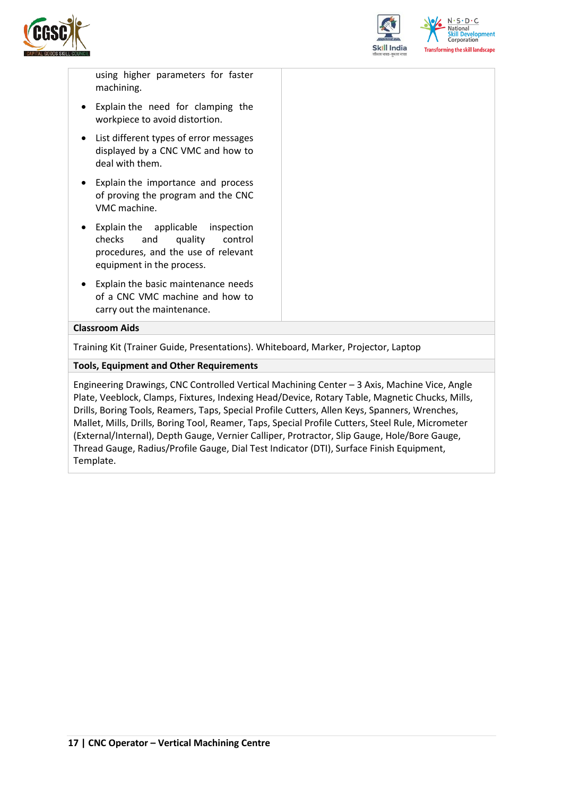



using higher parameters for faster machining.

- Explain the need for clamping the workpiece to avoid distortion.
- List different types of error messages displayed by a CNC VMC and how to deal with them.
- Explain the importance and process of proving the program and the CNC VMC machine.
- Explain the applicable inspection checks and quality control procedures, and the use of relevant equipment in the process.
- Explain the basic maintenance needs of a CNC VMC machine and how to carry out the maintenance.

#### **Classroom Aids**

Training Kit (Trainer Guide, Presentations). Whiteboard, Marker, Projector, Laptop

#### **Tools, Equipment and Other Requirements**

Engineering Drawings, CNC Controlled Vertical Machining Center – 3 Axis, Machine Vice, Angle Plate, Veeblock, Clamps, Fixtures, Indexing Head/Device, Rotary Table, Magnetic Chucks, Mills, Drills, Boring Tools, Reamers, Taps, Special Profile Cutters, Allen Keys, Spanners, Wrenches, Mallet, Mills, Drills, Boring Tool, Reamer, Taps, Special Profile Cutters, Steel Rule, Micrometer (External/Internal), Depth Gauge, Vernier Calliper, Protractor, Slip Gauge, Hole/Bore Gauge, Thread Gauge, Radius/Profile Gauge, Dial Test Indicator (DTI), Surface Finish Equipment, Template.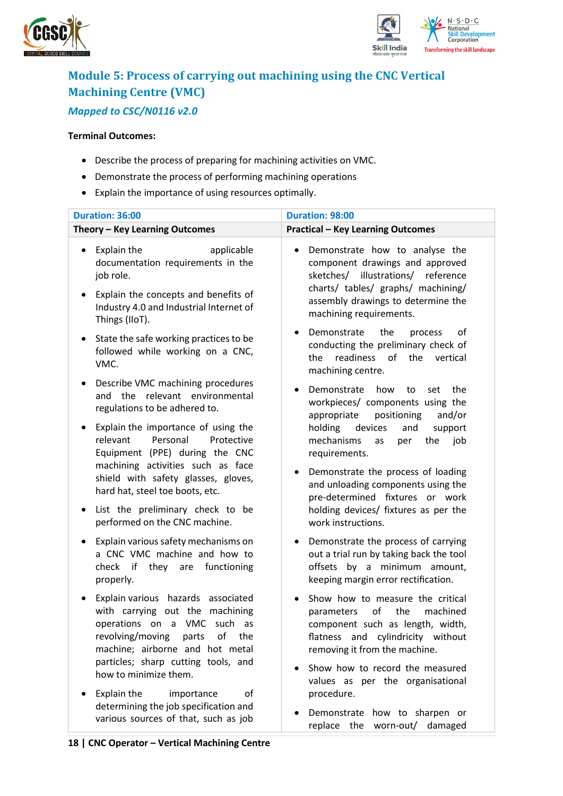



## <span id="page-17-0"></span>**Module 5: Process of carrying out machining using the CNC Vertical Machining Centre (VMC)** *Mapped to CSC/N0116 v2.0*

#### **Terminal Outcomes:**

- Describe the process of preparing for machining activities on VMC.
- Demonstrate the process of performing machining operations
- Explain the importance of using resources optimally.

| Duration: 36:00                                                                                                                                                                                                                                          | Duration: 98:00                                                                                                                                                                                                                                          |  |  |
|----------------------------------------------------------------------------------------------------------------------------------------------------------------------------------------------------------------------------------------------------------|----------------------------------------------------------------------------------------------------------------------------------------------------------------------------------------------------------------------------------------------------------|--|--|
| Theory - Key Learning Outcomes                                                                                                                                                                                                                           | <b>Practical - Key Learning Outcomes</b>                                                                                                                                                                                                                 |  |  |
| Explain the<br>applicable<br>$\bullet$<br>documentation requirements in the<br>job role.<br>Explain the concepts and benefits of<br>$\bullet$<br>Industry 4.0 and Industrial Internet of<br>Things (IIoT).                                               | Demonstrate how to analyse the<br>$\bullet$<br>component drawings and approved<br>sketches/<br>illustrations/<br>reference<br>charts/ tables/ graphs/ machining/<br>assembly drawings to determine the<br>machining requirements.                        |  |  |
| State the safe working practices to be<br>$\bullet$<br>followed while working on a CNC,<br>VMC.                                                                                                                                                          | the<br>Demonstrate<br>of<br>process<br>$\bullet$<br>conducting the preliminary check of<br>readiness of<br>the vertical<br>the<br>machining centre.                                                                                                      |  |  |
| Describe VMC machining procedures<br>٠<br>and the relevant environmental<br>regulations to be adhered to.                                                                                                                                                | Demonstrate<br>how<br>to<br>the<br>set<br>٠<br>workpieces/ components using the<br>positioning<br>appropriate<br>and/or                                                                                                                                  |  |  |
| Explain the importance of using the<br>٠<br>Personal<br>relevant<br>Protective<br>Equipment (PPE) during the CNC<br>machining activities such as face<br>shield with safety glasses, gloves,<br>hard hat, steel toe boots, etc.                          | holding<br>devices<br>and<br>support<br>mechanisms<br>the<br>job<br>as<br>per<br>requirements.<br>Demonstrate the process of loading<br>٠<br>and unloading components using the<br>pre-determined fixtures or work                                       |  |  |
| List the preliminary check to be<br>$\bullet$<br>performed on the CNC machine.                                                                                                                                                                           | holding devices/ fixtures as per the<br>work instructions.                                                                                                                                                                                               |  |  |
| Explain various safety mechanisms on<br>$\bullet$<br>a CNC VMC machine and how to<br>check if they are functioning<br>properly.                                                                                                                          | Demonstrate the process of carrying<br>٠<br>out a trial run by taking back the tool<br>offsets by a minimum amount,<br>keeping margin error rectification.                                                                                               |  |  |
| Explain various hazards associated<br>$\bullet$<br>with carrying out the machining<br>operations on a VMC such as<br>revolving/moving parts of<br>the<br>machine; airborne and hot metal<br>particles; sharp cutting tools, and<br>how to minimize them. | Show how to measure the critical<br>of<br>the<br>machined<br>parameters<br>component such as length, width,<br>flatness and cylindricity without<br>removing it from the machine.<br>Show how to record the measured<br>values as per the organisational |  |  |
| Explain the<br>οf<br>importance<br>determining the job specification and<br>various sources of that, such as job                                                                                                                                         | procedure.<br>Demonstrate how to sharpen or<br>replace the worn-out/ damaged                                                                                                                                                                             |  |  |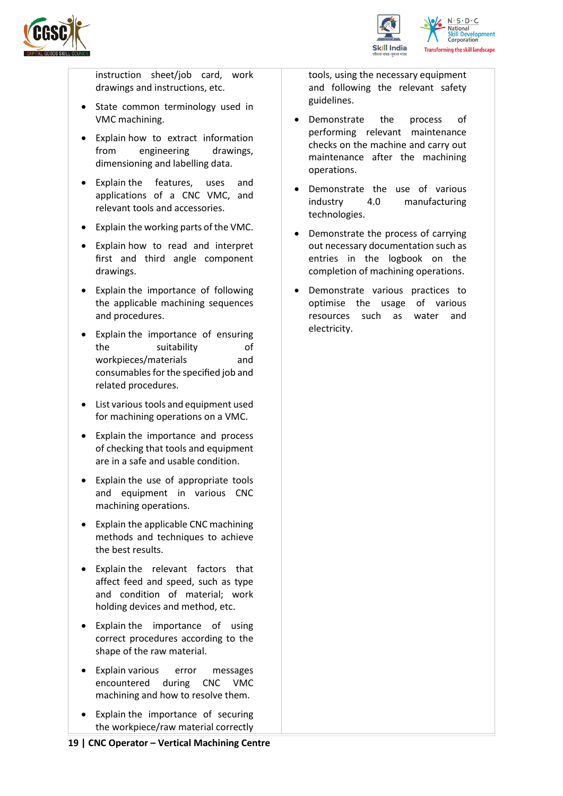



instruction sheet/job card, work drawings and instructions, etc.

- State common terminology used in VMC machining.
- Explain how to extract information from engineering drawings, dimensioning and labelling data.
- Explain the features, uses and applications of a CNC VMC, and relevant tools and accessories.
- Explain the working parts of the VMC.
- Explain how to read and interpret first and third angle component drawings.
- Explain the importance of following the applicable machining sequences and procedures.
- Explain the importance of ensuring the suitability of workpieces/materials and consumables for the specified job and related procedures.
- List various tools and equipment used for machining operations on a VMC.
- Explain the importance and process of checking that tools and equipment are in a safe and usable condition.
- Explain the use of appropriate tools and equipment in various CNC machining operations.
- Explain the applicable CNC machining methods and techniques to achieve the best results.
- Explain the relevant factors that affect feed and speed, such as type and condition of material; work holding devices and method, etc.
- Explain the importance of using correct procedures according to the shape of the raw material.
- Explain various error messages encountered during CNC VMC machining and how to resolve them.
- Explain the importance of securing the workpiece/raw material correctly

tools, using the necessary equipment and following the relevant safety guidelines.

- Demonstrate the process of performing relevant maintenance checks on the machine and carry out maintenance after the machining operations.
- Demonstrate the use of various industry 4.0 manufacturing technologies.
- Demonstrate the process of carrying out necessary documentation such as entries in the logbook on the completion of machining operations.
- Demonstrate various practices to optimise the usage of various resources such as water and electricity.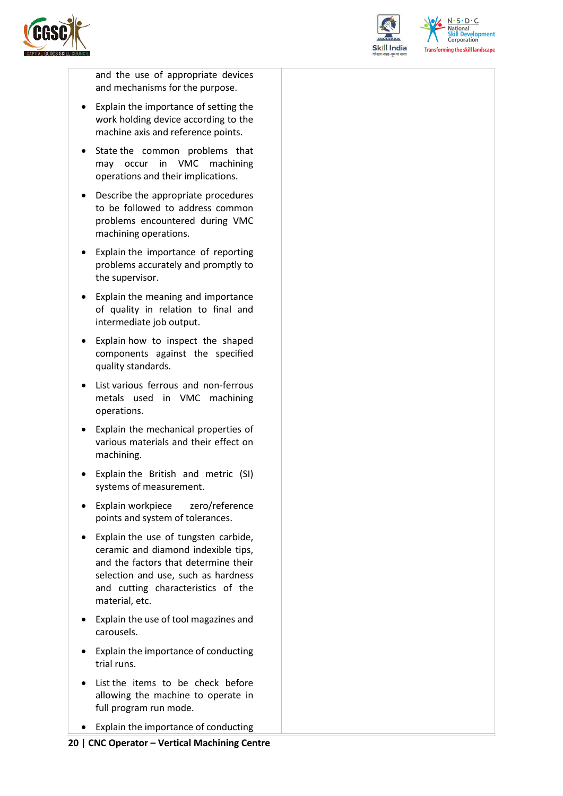



 $N.5.0.6$ **Skill Development**<br>Corporation **Transforming the skill landscape** 

and the use of appropriate devices and mechanisms for the purpose.

- Explain the importance of setting the work holding device according to the machine axis and reference points.
- State the common problems that may occur in VMC machining operations and their implications.
- Describe the appropriate procedures to be followed to address common problems encountered during VMC machining operations.
- Explain the importance of reporting problems accurately and promptly to the supervisor.
- Explain the meaning and importance of quality in relation to final and intermediate job output.
- Explain how to inspect the shaped components against the specified quality standards.
- List various ferrous and non-ferrous metals used in VMC machining operations.
- Explain the mechanical properties of various materials and their effect on machining.
- Explain the British and metric (SI) systems of measurement.
- Explain workpiece zero/reference points and system of tolerances.
- Explain the use of tungsten carbide, ceramic and diamond indexible tips, and the factors that determine their selection and use, such as hardness and cutting characteristics of the material, etc.
- Explain the use of tool magazines and carousels.
- Explain the importance of conducting trial runs.
- List the items to be check before allowing the machine to operate in full program run mode.
- Explain the importance of conducting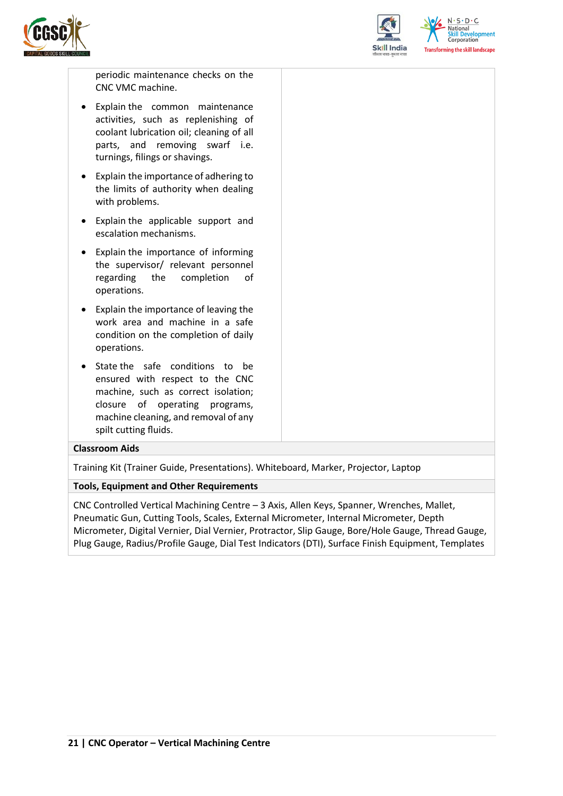



 $N.5.0.6$ **Skill Development**<br>Corporation ning the skill landscape

periodic maintenance checks on the CNC VMC machine.

- Explain the common maintenance activities, such as replenishing of coolant lubrication oil; cleaning of all parts, and removing swarf i.e. turnings, filings or shavings.
- Explain the importance of adhering to the limits of authority when dealing with problems.
- Explain the applicable support and escalation mechanisms.
- Explain the importance of informing the supervisor/ relevant personnel regarding the completion of operations.
- Explain the importance of leaving the work area and machine in a safe condition on the completion of daily operations.
- State the safe conditions to be ensured with respect to the CNC machine, such as correct isolation; closure of operating programs, machine cleaning, and removal of any spilt cutting fluids.

#### **Classroom Aids**

Training Kit (Trainer Guide, Presentations). Whiteboard, Marker, Projector, Laptop

#### **Tools, Equipment and Other Requirements**

CNC Controlled Vertical Machining Centre – 3 Axis, Allen Keys, Spanner, Wrenches, Mallet, Pneumatic Gun, Cutting Tools, Scales, External Micrometer, Internal Micrometer, Depth Micrometer, Digital Vernier, Dial Vernier, Protractor, Slip Gauge, Bore/Hole Gauge, Thread Gauge, Plug Gauge, Radius/Profile Gauge, Dial Test Indicators (DTI), Surface Finish Equipment, Templates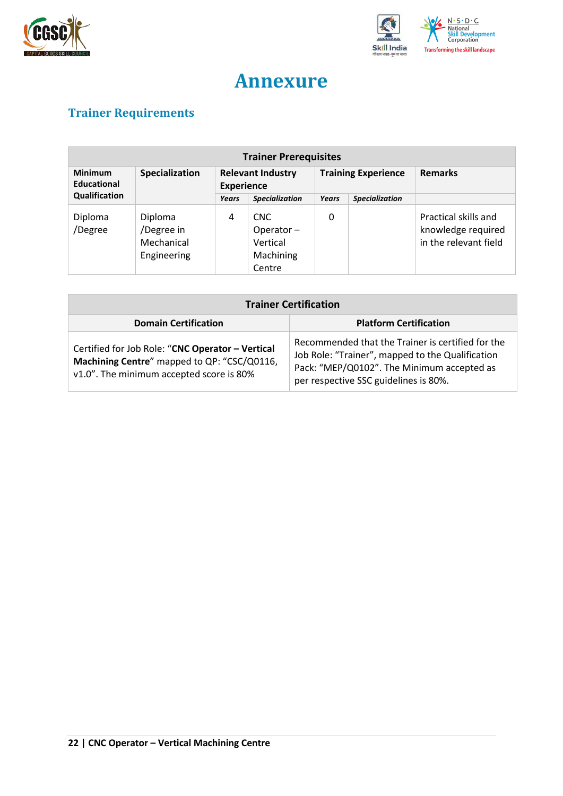



## **Annexure**

## <span id="page-21-1"></span><span id="page-21-0"></span>**Trainer Requirements**

| <b>Trainer Prerequisites</b>  |                                                    |                                               |                                                            |       |                            |                                                                     |
|-------------------------------|----------------------------------------------------|-----------------------------------------------|------------------------------------------------------------|-------|----------------------------|---------------------------------------------------------------------|
| <b>Minimum</b><br>Educational | Specialization                                     | <b>Relevant Industry</b><br><b>Experience</b> |                                                            |       | <b>Training Experience</b> | <b>Remarks</b>                                                      |
| Qualification                 |                                                    | Years                                         | <b>Specialization</b>                                      | Years | <b>Specialization</b>      |                                                                     |
| Diploma<br>/Degree            | Diploma<br>/Degree in<br>Mechanical<br>Engineering | 4                                             | <b>CNC</b><br>Operator-<br>Vertical<br>Machining<br>Centre | 0     |                            | Practical skills and<br>knowledge required<br>in the relevant field |

| <b>Trainer Certification</b>                                                                                                                |                                                                                                                                                                                              |  |  |
|---------------------------------------------------------------------------------------------------------------------------------------------|----------------------------------------------------------------------------------------------------------------------------------------------------------------------------------------------|--|--|
| <b>Domain Certification</b>                                                                                                                 | <b>Platform Certification</b>                                                                                                                                                                |  |  |
| Certified for Job Role: "CNC Operator - Vertical<br>Machining Centre" mapped to QP: "CSC/Q0116,<br>v1.0". The minimum accepted score is 80% | Recommended that the Trainer is certified for the<br>Job Role: "Trainer", mapped to the Qualification<br>Pack: "MEP/Q0102". The Minimum accepted as<br>per respective SSC guidelines is 80%. |  |  |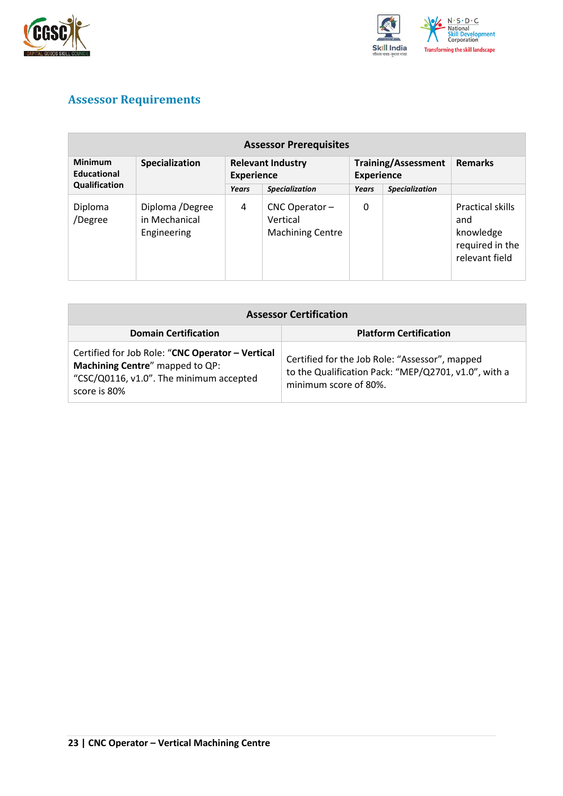



## <span id="page-22-0"></span>**Assessor Requirements**

| <b>Assessor Prerequisites</b>                  |                                                 |                                               |                                                           |                                                 |                       |                                                                                  |  |
|------------------------------------------------|-------------------------------------------------|-----------------------------------------------|-----------------------------------------------------------|-------------------------------------------------|-----------------------|----------------------------------------------------------------------------------|--|
| <b>Minimum</b><br>Educational<br>Qualification | Specialization                                  | <b>Relevant Industry</b><br><b>Experience</b> |                                                           | <b>Training/Assessment</b><br><b>Experience</b> |                       | <b>Remarks</b>                                                                   |  |
|                                                |                                                 | Years                                         | <b>Specialization</b>                                     | Years                                           | <b>Specialization</b> |                                                                                  |  |
| Diploma<br>/Degree                             | Diploma /Degree<br>in Mechanical<br>Engineering | 4                                             | $CNC$ Operator $-$<br>Vertical<br><b>Machining Centre</b> | 0                                               |                       | <b>Practical skills</b><br>and<br>knowledge<br>required in the<br>relevant field |  |

| <b>Assessor Certification</b>                                                                                                                  |                                                                                                                                 |  |  |  |
|------------------------------------------------------------------------------------------------------------------------------------------------|---------------------------------------------------------------------------------------------------------------------------------|--|--|--|
| <b>Domain Certification</b>                                                                                                                    | <b>Platform Certification</b>                                                                                                   |  |  |  |
| Certified for Job Role: "CNC Operator - Vertical<br>Machining Centre" mapped to QP:<br>"CSC/Q0116, v1.0". The minimum accepted<br>score is 80% | Certified for the Job Role: "Assessor", mapped<br>to the Qualification Pack: "MEP/Q2701, v1.0", with a<br>minimum score of 80%. |  |  |  |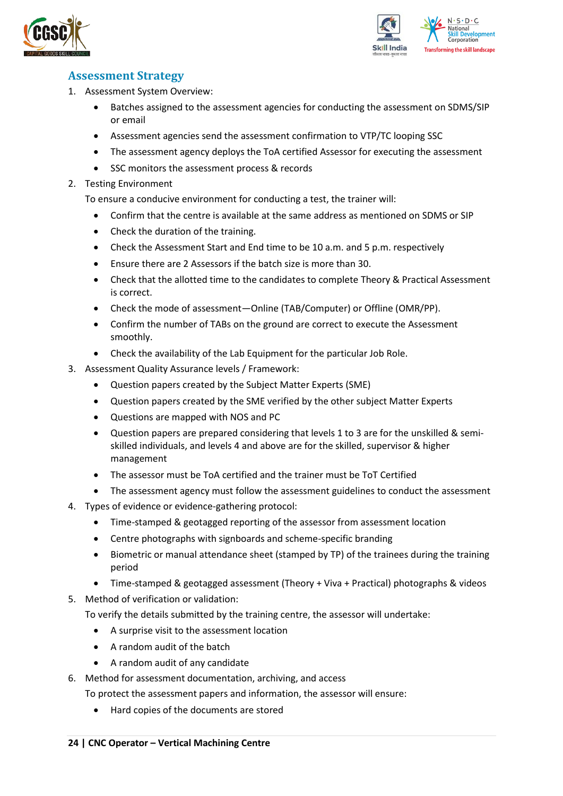



### <span id="page-23-0"></span>**Assessment Strategy**

- 1. Assessment System Overview:
	- Batches assigned to the assessment agencies for conducting the assessment on SDMS/SIP or email
	- Assessment agencies send the assessment confirmation to VTP/TC looping SSC
	- The assessment agency deploys the ToA certified Assessor for executing the assessment
	- SSC monitors the assessment process & records
- 2. Testing Environment

To ensure a conducive environment for conducting a test, the trainer will:

- Confirm that the centre is available at the same address as mentioned on SDMS or SIP
- Check the duration of the training.
- Check the Assessment Start and End time to be 10 a.m. and 5 p.m. respectively
- Ensure there are 2 Assessors if the batch size is more than 30.
- Check that the allotted time to the candidates to complete Theory & Practical Assessment is correct.
- Check the mode of assessment—Online (TAB/Computer) or Offline (OMR/PP).
- Confirm the number of TABs on the ground are correct to execute the Assessment smoothly.
- Check the availability of the Lab Equipment for the particular Job Role.
- 3. Assessment Quality Assurance levels / Framework:
	- Question papers created by the Subject Matter Experts (SME)
	- Question papers created by the SME verified by the other subject Matter Experts
	- Questions are mapped with NOS and PC
	- Question papers are prepared considering that levels 1 to 3 are for the unskilled & semiskilled individuals, and levels 4 and above are for the skilled, supervisor & higher management
	- The assessor must be ToA certified and the trainer must be ToT Certified
	- The assessment agency must follow the assessment guidelines to conduct the assessment
- 4. Types of evidence or evidence-gathering protocol:
	- Time-stamped & geotagged reporting of the assessor from assessment location
	- Centre photographs with signboards and scheme-specific branding
	- Biometric or manual attendance sheet (stamped by TP) of the trainees during the training period
	- Time-stamped & geotagged assessment (Theory + Viva + Practical) photographs & videos
- 5. Method of verification or validation:

To verify the details submitted by the training centre, the assessor will undertake:

- A surprise visit to the assessment location
- A random audit of the batch
- A random audit of any candidate
- 6. Method for assessment documentation, archiving, and access
	- To protect the assessment papers and information, the assessor will ensure:
		- Hard copies of the documents are stored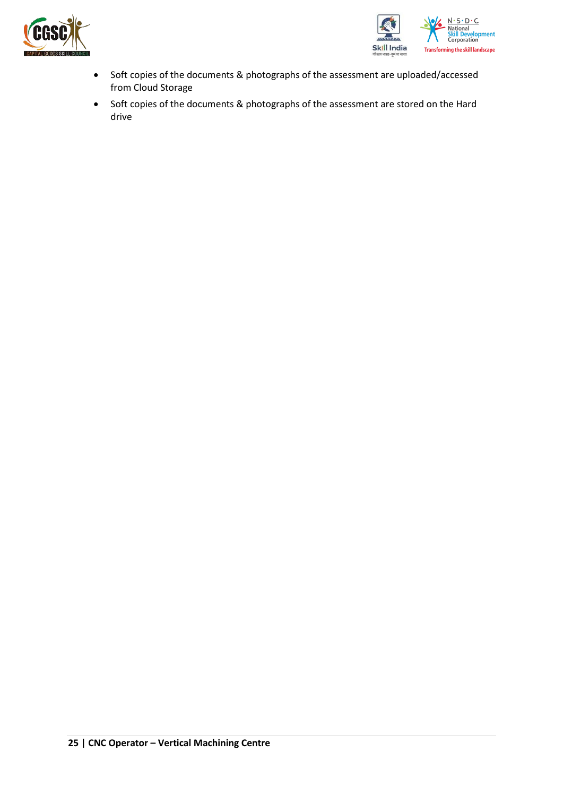



- Soft copies of the documents & photographs of the assessment are uploaded/accessed from Cloud Storage
- Soft copies of the documents & photographs of the assessment are stored on the Hard drive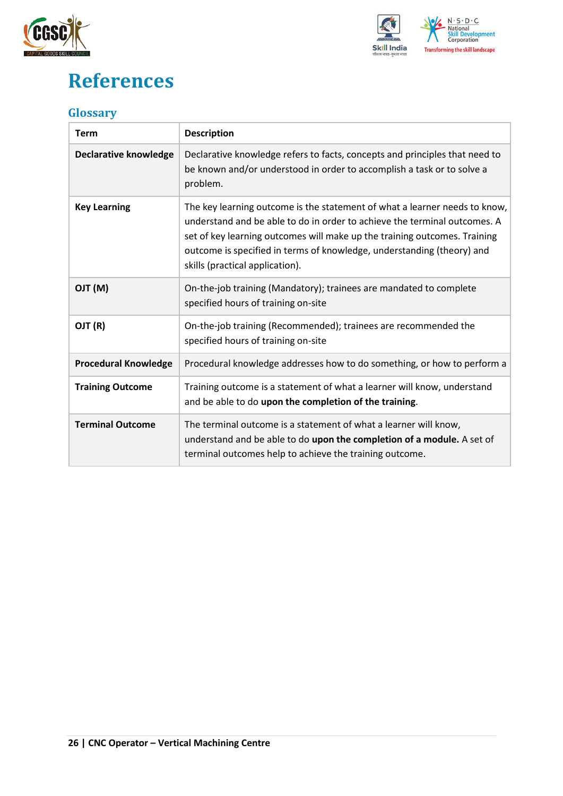



## <span id="page-25-0"></span>**References**

### <span id="page-25-1"></span>**Glossary**

| <b>Term</b>                  | <b>Description</b>                                                                                                                                                                                                                                                                                                                                |
|------------------------------|---------------------------------------------------------------------------------------------------------------------------------------------------------------------------------------------------------------------------------------------------------------------------------------------------------------------------------------------------|
| <b>Declarative knowledge</b> | Declarative knowledge refers to facts, concepts and principles that need to<br>be known and/or understood in order to accomplish a task or to solve a<br>problem.                                                                                                                                                                                 |
| <b>Key Learning</b>          | The key learning outcome is the statement of what a learner needs to know,<br>understand and be able to do in order to achieve the terminal outcomes. A<br>set of key learning outcomes will make up the training outcomes. Training<br>outcome is specified in terms of knowledge, understanding (theory) and<br>skills (practical application). |
| (M) TLO                      | On-the-job training (Mandatory); trainees are mandated to complete<br>specified hours of training on-site                                                                                                                                                                                                                                         |
| OJT (R)                      | On-the-job training (Recommended); trainees are recommended the<br>specified hours of training on-site                                                                                                                                                                                                                                            |
| <b>Procedural Knowledge</b>  | Procedural knowledge addresses how to do something, or how to perform a                                                                                                                                                                                                                                                                           |
| <b>Training Outcome</b>      | Training outcome is a statement of what a learner will know, understand<br>and be able to do upon the completion of the training.                                                                                                                                                                                                                 |
| <b>Terminal Outcome</b>      | The terminal outcome is a statement of what a learner will know,<br>understand and be able to do upon the completion of a module. A set of<br>terminal outcomes help to achieve the training outcome.                                                                                                                                             |